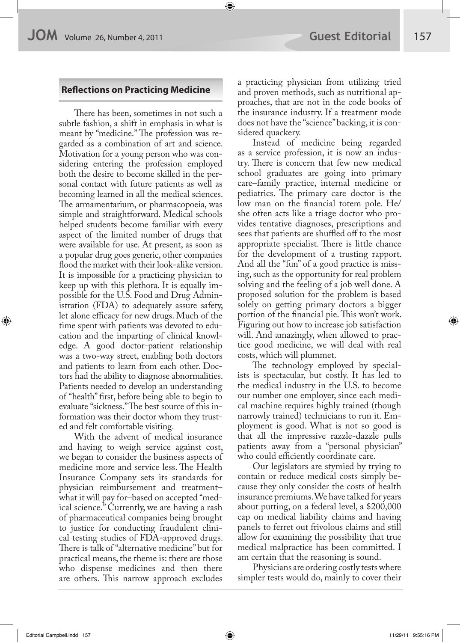## **Re!ections on Practicing Medicine**

There has been, sometimes in not such a subtle fashion, a shift in emphasis in what is meant by "medicine." The profession was regarded as a combination of art and science. Motivation for a young person who was considering entering the profession employed both the desire to become skilled in the personal contact with future patients as well as becoming learned in all the medical sciences. The armamentarium, or pharmacopoeia, was simple and straightforward. Medical schools helped students become familiar with every aspect of the limited number of drugs that were available for use. At present, as soon as a popular drug goes generic, other companies flood the market with their look-alike version. It is impossible for a practicing physician to keep up with this plethora. It is equally impossible for the U.S. Food and Drug Administration (FDA) to adequately assure safety, let alone efficacy for new drugs. Much of the time spent with patients was devoted to education and the imparting of clinical knowledge. A good doctor-patient relationship was a two-way street, enabling both doctors and patients to learn from each other. Doctors had the ability to diagnose abnormalities. Patients needed to develop an understanding of "health" first, before being able to begin to evaluate "sickness." The best source of this information was their doctor whom they trusted and felt comfortable visiting.

With the advent of medical insurance and having to weigh service against cost, we began to consider the business aspects of medicine more and service less. The Health Insurance Company sets its standards for physician reimbursement and treatment– what it will pay for–based on accepted "medical science." Currently, we are having a rash of pharmaceutical companies being brought to justice for conducting fraudulent clinical testing studies of FDA-approved drugs. There is talk of "alternative medicine" but for practical means, the theme is: there are those who dispense medicines and then there are others. This narrow approach excludes

a practicing physician from utilizing tried and proven methods, such as nutritional approaches, that are not in the code books of the insurance industry. If a treatment mode does not have the "science" backing, it is considered quackery.

Instead of medicine being regarded as a service profession, it is now an industry. There is concern that few new medical school graduates are going into primary care–family practice, internal medicine or pediatrics. The primary care doctor is the low man on the financial totem pole. He/ she often acts like a triage doctor who provides tentative diagnoses, prescriptions and sees that patients are shuffled off to the most appropriate specialist. There is little chance for the development of a trusting rapport. And all the "fun" of a good practice is missing, such as the opportunity for real problem solving and the feeling of a job well done. A proposed solution for the problem is based solely on getting primary doctors a bigger portion of the financial pie. This won't work. Figuring out how to increase job satisfaction will. And amazingly, when allowed to practice good medicine, we will deal with real costs, which will plummet.

The technology employed by specialists is spectacular, but costly. It has led to the medical industry in the U.S. to become our number one employer, since each medical machine requires highly trained (though narrowly trained) technicians to run it. Employment is good. What is not so good is that all the impressive razzle-dazzle pulls patients away from a "personal physician" who could efficiently coordinate care.

Our legislators are stymied by trying to contain or reduce medical costs simply because they only consider the costs of health insurance premiums. We have talked for years about putting, on a federal level, a \$200,000 cap on medical liability claims and having panels to ferret out frivolous claims and still allow for examining the possibility that true medical malpractice has been committed. I am certain that the reasoning is sound.

Physicians are ordering costly tests where simpler tests would do, mainly to cover their